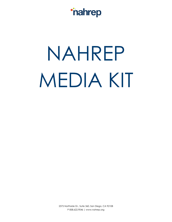*\*nahrep* 

# NAHREP MEDIA KIT

2375 Northside Dr., Suite 360, San Diego, CA 92108 P 858.622.9046 | www.nahrep.org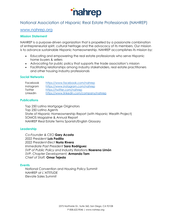

# National Association of Hispanic Real Estate Professionals (NAHREP)

# [www.nahrep.org](http://www.nahrep.org/)

# **Mission Statement**

NAHREP is a purpose-driven organization that is propelled by a passionate combination of entrepreneurial spirit, cultural heritage and the advocacy of its members. Our mission is to advance sustainable Hispanic homeownership. NAHREP accomplishes its mission by:

- Educating and empowering the real estate professionals who serve Hispanic home buyers & sellers
- Advocating for public policy that supports the trade association's mission
- Facilitating relationships among industry stakeholders, real estate practitioners and other housing industry professionals

# **Social Networks**

| Facebook  | https://www.facebook.com/nahrep         |
|-----------|-----------------------------------------|
| Instagram | https://www.instagram.com/nahrep        |
| Twitter   | https://twitter.com/nahrep              |
| LinkedIn  | https://www.linkedin.com/company/nahrep |

# **Publications**

Top 250 Latino Mortgage Originators Top 250 Latino Agents State of Hispanic Homeownership Report (with Hispanic Wealth Project) SOMOS Magazine & Annual Report NAHREP Real Estate Terms Spanish/English Glossary

# **Leadership**

*Co-Founder & CEO* **Gary Acosta** *2022 President* **Luis Padilla** *2022 President-Elect* **Nuria Rivera** *Immediate Past President* **Sara Rodriguez** *SVP of Public Policy and Industry Relations* **Noerena Limón** *SVP, Chapter Development,* **Armando Tam** *Chief of Staff,* **Omar Tejeda**

# **Events**

National Convention and Housing Policy Summit NAHREP at L'ATTITUDE Elevate Sales Summit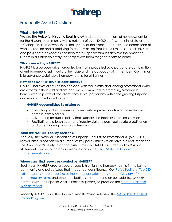

# Frequently Asked Questions

# **What is NAHREP?**

We are **The Voice for Hispanic Real Estate®** and proud champions of homeownership for the Hispanic community with a network of over 40,000 professionals in 48 states and 100 chapters. Homeownership is the symbol of the American Dream, the cornerstone of wealth creation and a stabilizing force for working families. Our role as trusted advisors and passionate advocates is to help more Hispanic families achieve the American Dream in a sustainable way that empowers them for generations to come.

# **Who is served by NAHREP?**

NAHREP is a purpose-driven organization that is propelled by a passionate combination of entrepreneurial spirit, cultural heritage and the advocacy of its members. Our mission is to advance sustainable homeownership for all Latinos.

# **How does NAHREP serve its constituency?**

NAHREP believes clients deserve to deal with real estate and lending professionals who are experts in their field and are genuinely committed to promoting sustainable homeownership with all the clients they serve, particularly within the growing Hispanic community in the United States.

# **NAHREP accomplishes its mission by:**

- Educating and empowering the real estate professionals who serve Hispanic home buyers & sellers
- Advocating for public policy that supports the trade association's mission
- Facilitating relationships among industry stakeholders, real estate practitioners and other housing industry professionals

# **What are NAHREP's policy positions?**

Annually, the National Association of Hispanic Real Estate Professionals® (NAHREP®) reevaluates its position on a number of key policy issues which have a direct impact on the Association's ability to accomplish its mission. NAHREP's current Policy Positions Statement can be found on our website and in the [latest State of Hispanic](https://nahrep.org/shhr/)  [Homeownership Report.](https://nahrep.org/shhr/)

# **Where can I find resources created by NAHREP?**

Each year, NAHREP creates special reports highlighting homeownership in the Latino community and policy issues that impact our constituency. Our [Policy Positions,](https://nahrep.org/engage/nahrep-policy-agenda/) Top 250 [Latino Agents Report,](https://nahrep.org/top250/agent) [Top 250 Latino Mortgage Originators Report,](https://nahrep.org/top250/originator) [Glossary of Real](https://nahrep.org/glossary/)  [Estate Industry Terms](https://nahrep.org/glossary/) and other publications can be found on our website. NAHREP partners with the Hispanic Wealth Project® (HWP®) to produce the State of Hispanic [Wealth Report.](http://hispanicwealthproject.org/annual-report/)

Recently, NAHREP and the Hispanic Wealth Project released the [NAHREP 10 Certified](https://nahrep.org/nahrep10trainer/)  [Trainer Program.](https://nahrep.org/nahrep10trainer/)